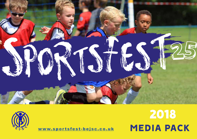



## WWW.sportsfest-bejsc.co.uk MEDIA PACK 2018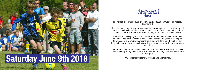# **Saturday June 9th 2018**

SportsFest is Bourne End Junior Sports Club's (BEJSC) annual youth football tournament.

This year marks our 25th anniversary and the tournament will be held on the 9th June. We will celebrate by hosting up to 150 teams from Under 7s through to under 15s, there is also a structured training session for our Junior Kickers.

Each year we have played host to Octeville-sur-mer, Bourne End's twin town in France who normally send along around 5 teams. This year we are hoping to branch out and are inviting teams from Italy and Germany, if you have any foreign teams you have connections with and would like to invite we are open to suggestions.

We are looking forward to building on our most successful event ever last year and we invite you to join us in what is one of the most highly rated tournaments in the region.

Any support is gratefully received and appreciated.

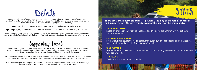

SportsFest is run by Bourne End Junior Sports Club (BEJSC) Football Section and was created to bring the community together through sport and give young people leadership opportunities. Over the past 25 years Sportsfest has continued to grow, providing competition and fun for all the family.

The annual event helps to fund BEJSC and ensures that hundreds of boys and girls can enjoy the sport. The money goes towards equipment, pitch rentals and coach training and specialist coaching eg goal keeper training.

Your support of SportsFest helps BEJSC provide a platform for keeping young people active and maintaining a healthy lifestyle as well as helping to build confidence and social inclusion.



Uniting football teams from Buckinghamshire, Berkshire, London suburbs and guest teams from Europe, including France, Germany and Italy. Sportfest will be celebrating it's 25th anniversary and expect this to be our biggest event yet, we estimate up to 3000 people will be attending.

Date June 9th 2018 / Venue Wooburn Park, Town Lane, Wooburn Green, Bucks, HP10 0JA

Age groups U7, U8, U9, U9 Colts U10, U10 Colts, U11, U11 Colts U12, U12 Colts, U13, U13 Colts, U14, U15, U15 Colts.

As well as the Football Festival, there will be a range of attractions and refreshments available throughout the day for the whole family to enjoy, including BBQ, Tea Tent, Ice Cream, Tombola, Licensed Bar and a Pimms Stand.

Supporting Local

There are 3 main demographics: 1) players 2) family of players 3) coaching and support staff. This is a family event at the heart of the community.

#### 150 TEAMS

150 teams is our maximum capacity.

#### 1500 PLAYERS

Tournaments for players from 7-15 and a structured training session for our Junior Kickers who are Under 6.

#### 2000+ SPECTATORS

Based on previous years high attendances and this being the anniversary, we estimate 2000+ spectators.

#### EST MEDIA REACH 200K

From local press coverage, blogs, social media, radio, video production and our websites, we estimate a media reach of over 200,000 people.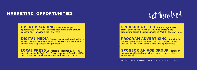Please see pricing on the following page or contact us to discuss opportunities.

### MARKETING OPPORTUNITIES

EVENT BRANDING There are multiple opportunities to have your business seen at the event, through banners, flags, areas to exhibit and more.

**DIGITAL MEDIA** Sponsors company logos (and links where possible) will be displayed on the website, social media and the official Sportfest video production.

LOCAL PRESS sportsfest is supported by all local press, including the Bucks Free Press, Maidenhead Advertiser, HIYA bucks magazine, Families magazine, Marlow FM and more.

SPONSOR A PITCH 4 x 6 ft flags in each corner of the pitch PLUS the pitch will be named in the programme beside the pitch number (ie Pitch 1 - Sponsors name)

PROGRAM ADVERTISING Advertise in the event program distributed to over 2000 people from as little as £50. Plus event product give away opportunities.

SPONSOR AN AGE GROUP Sponsor an age group and be featured in the programme and on the winners trophy.

Get Involved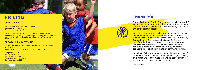### THANK YOU



Bourne End Junior Sports Club is a multi sports club with 8 sections including, swimming, basketball, climbing, inline skating, badminton, table tennis and canoeing. Football is one of the biggest sections.

We have our own sports hall, the first charity funded one to be built in the UK, and use various other facilities including Wycombe Leisure Centre, Flackwell Community Centre, Bourne End Academy, Redgrave Centre and use of football pitches at Bourne End Recreation Ground, Little Marlow Recreation Ground and Wooburn Park. The club is completely funded and run by voluntary donations so support from the local community is vital.

The programme is A5 and sold as entry cost to each car parking in the field. Adverts in the Program (includes free listing on website)

> On behalf of all the young people and the vast number of "old boys and girls", we can't thank you enough for taking an interest and look forward to having a conversation to see how we can move the discussion on.

Ken Murphy

### **PRICING**

### **SPONSORSHIP**

Headline Sponsor - Price on application Sponsor a pitch  $- f1000$ Sponsor an age group  $- f1000$ 

The above includes relevant branding witihn the event, advert in program, logo on video production, social media promotion and MC announcements throughout the day. Please e-mail to express an interest.

#### **PROGRAMME ADVERTISING**

Half page b/w £50 Full page b/w £100 Full page colour £200 Centre pages colour £250 ea Back page colour £250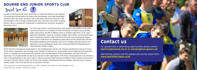BEJSC Directors encourage all young people to "put something back into the club" through volunteering to ensure the future of this unique organisation. We encourage senior members to take part in a Young leaders Course organised by Action4Youth which is a valuable way of enhancing their personal skills and development of the young people; we know from past experience, it is of great benefit not only to our club but to other organisations in the future. Young people give club members a voice in the development of the club as well as improving communication between the different Sports Sections and Directors. We have 8 Directors and five of these are former club members, including the Chairman Matthew Todd and former Treasurer Wendy Chaplin. Four of the Sections are run by former members.

### BOURNE END JUNIOR SPORTS CLUB

Founded in 1970 Bourne End Junior Sports Club is a registered charity run by volunteers to provide sport and recreation for children and young people, with many being highly qualified in their own sport. The Sports Hall in New Road, Bourne End was built in 1982 and extended in 1997 to include a climbing wall and a club room, plus further changing facilities. BEJSC is entirely self-funding and is recognised as a successful, prestigious and unique centre.





The multi-sport centre is used extensively by club members and members of the whole community. Please visit our website for more information www.bejsc.co.uk (currently under construction). We offer 8 different sports to members aged from 5 to 18+ years – Badminton, Basketball, Canoeing, Climbing, Football, Inline Hockey, Swimming and Table Tennis. Membership numbers range from 500 to 600 with many young people playing several sports. Some sports are competitive whilst others are for learning new activities and building confidence and friendships. Some of our members play their sport at very high levels, County and Regional. BEJSC has a strong and effective Safeguarding and Child Protection scheme in place.





**New Road, Bourne End Buckinghamshire SL8 5BS. Honorary President: Sir Steve Redgrave C.B.E. Registration No. 1295483 Charity No. 266590**

### Contact us

For sponsorship or advertising opportunities please contact matt@leightonmail.me.uk or clarejleighton@gmail.com

Alternatively, please visit the website and use the online form. www.sportsfest-bejsc.co.uk